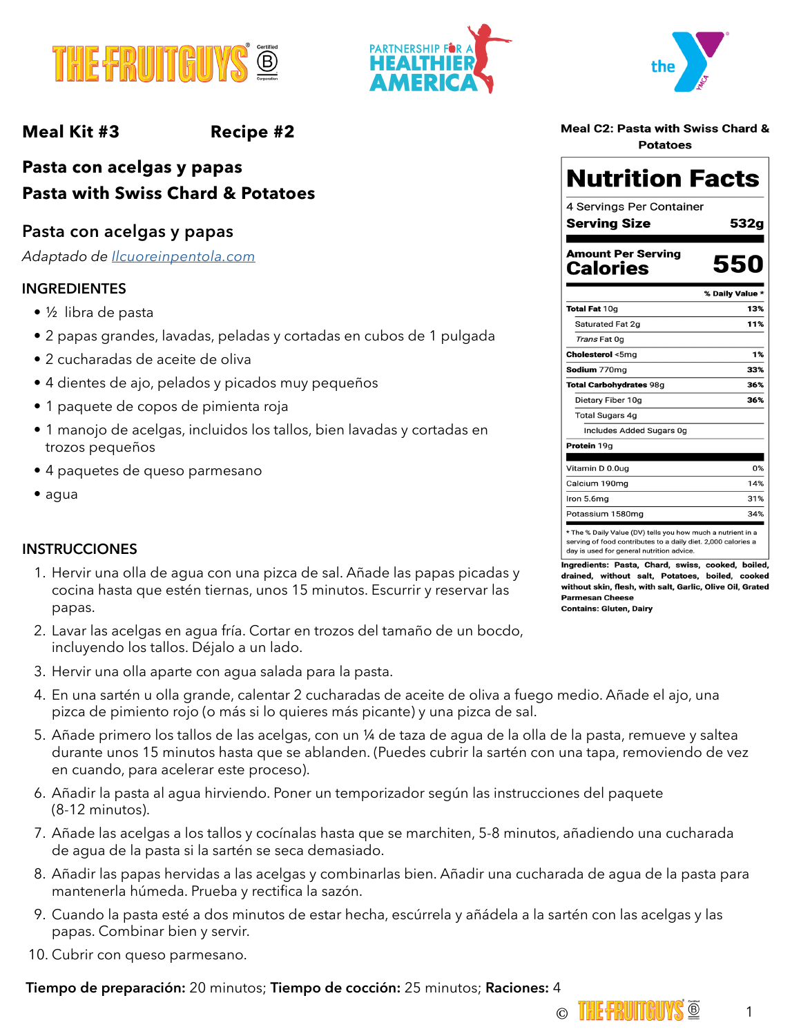





## **Meal Kit #3 Recipe #2**

## **Pasta con acelgas y papas Pasta with Swiss Chard & Potatoes**

## **Pasta con acelgas y papas**

*Adaptado de [Ilcuoreinpentola.com](https://www.ilcuoreinpentola.it/ricette/primi-piatti/paccheri-bietole-e-patate/)*

### **INGREDIENTES**

- ½ libra de pasta
- 2 papas grandes, lavadas, peladas y cortadas en cubos de 1 pulgada
- 2 cucharadas de aceite de oliva
- 4 dientes de ajo, pelados y picados muy pequeños
- 1 paquete de copos de pimienta roja
- 1 manojo de acelgas, incluidos los tallos, bien lavadas y cortadas en trozos pequeños
- 4 paquetes de queso parmesano
- agua

### **INSTRUCCIONES**

- 1. Hervir una olla de agua con una pizca de sal. Añade las papas picadas y cocina hasta que estén tiernas, unos 15 minutos. Escurrir y reservar las papas.
- 2. Lavar las acelgas en agua fría. Cortar en trozos del tamaño de un bocdo, incluyendo los tallos. Déjalo a un lado.
- 3. Hervir una olla aparte con agua salada para la pasta.
- 4. En una sartén u olla grande, calentar 2 cucharadas de aceite de oliva a fuego medio. Añade el ajo, una pizca de pimiento rojo (o más si lo quieres más picante) y una pizca de sal.
- 5. Añade primero los tallos de las acelgas, con un ¼ de taza de agua de la olla de la pasta, remueve y saltea durante unos 15 minutos hasta que se ablanden. (Puedes cubrir la sartén con una tapa, removiendo de vez en cuando, para acelerar este proceso).
- 6. Añadir la pasta al agua hirviendo. Poner un temporizador según las instrucciones del paquete (8-12 minutos).
- 7. Añade las acelgas a los tallos y cocínalas hasta que se marchiten, 5-8 minutos, añadiendo una cucharada de agua de la pasta si la sartén se seca demasiado.
- 8. Añadir las papas hervidas a las acelgas y combinarlas bien. Añadir una cucharada de agua de la pasta para mantenerla húmeda. Prueba y rectifica la sazón.
- 9. Cuando la pasta esté a dos minutos de estar hecha, escúrrela y añádela a la sartén con las acelgas y las papas. Combinar bien y servir.
- 10. Cubrir con queso parmesano.

### **Tiempo de preparación:** 20 minutos; **Tiempo de cocción:** 25 minutos; **Raciones:** 4

|  |                 | Meal C2: Pasta with Swiss Chard & |  |
|--|-----------------|-----------------------------------|--|
|  | <b>Potatoes</b> |                                   |  |

# **Nutrition Facts**

4 Servings Per Container **Serving Size** 

**Amount Per Serving** 

**Calories** 

532g

550

|                                                             | % Daily Value * |
|-------------------------------------------------------------|-----------------|
| <b>Total Fat 10g</b>                                        | 13%             |
| Saturated Fat 2q                                            | 11%             |
| <i>Trans</i> Fat Oq                                         |                 |
| <b>Cholesterol</b> <5mg                                     | 1%              |
| <b>Sodium</b> 770mg                                         | 33%             |
| <b>Total Carbohydrates 98g</b>                              | 36%             |
| Dietary Fiber 10g                                           | 36%             |
| <b>Total Sugars 4g</b>                                      |                 |
| Includes Added Sugars 0g                                    |                 |
| Protein 19g                                                 |                 |
| Vitamin D 0.0ug                                             | 0%              |
| Calcium 190mg                                               | 14%             |
| Iron 5.6mg                                                  | 31%             |
| Potassium 1580mg                                            | 34%             |
| * The % Daily Value (DV) tells you how much a nutrient in a |                 |

serving of food contributes to a daily diet. 2,000 calories a day is used for general nutrition advice.

Ingredients: Pasta, Chard, swiss, cooked, boiled, drained, without salt, Potatoes, boiled, cooked without skin, flesh, with salt, Garlic, Olive Oil, Grated **Parmesan Cheese Contains: Gluten, Dairy**